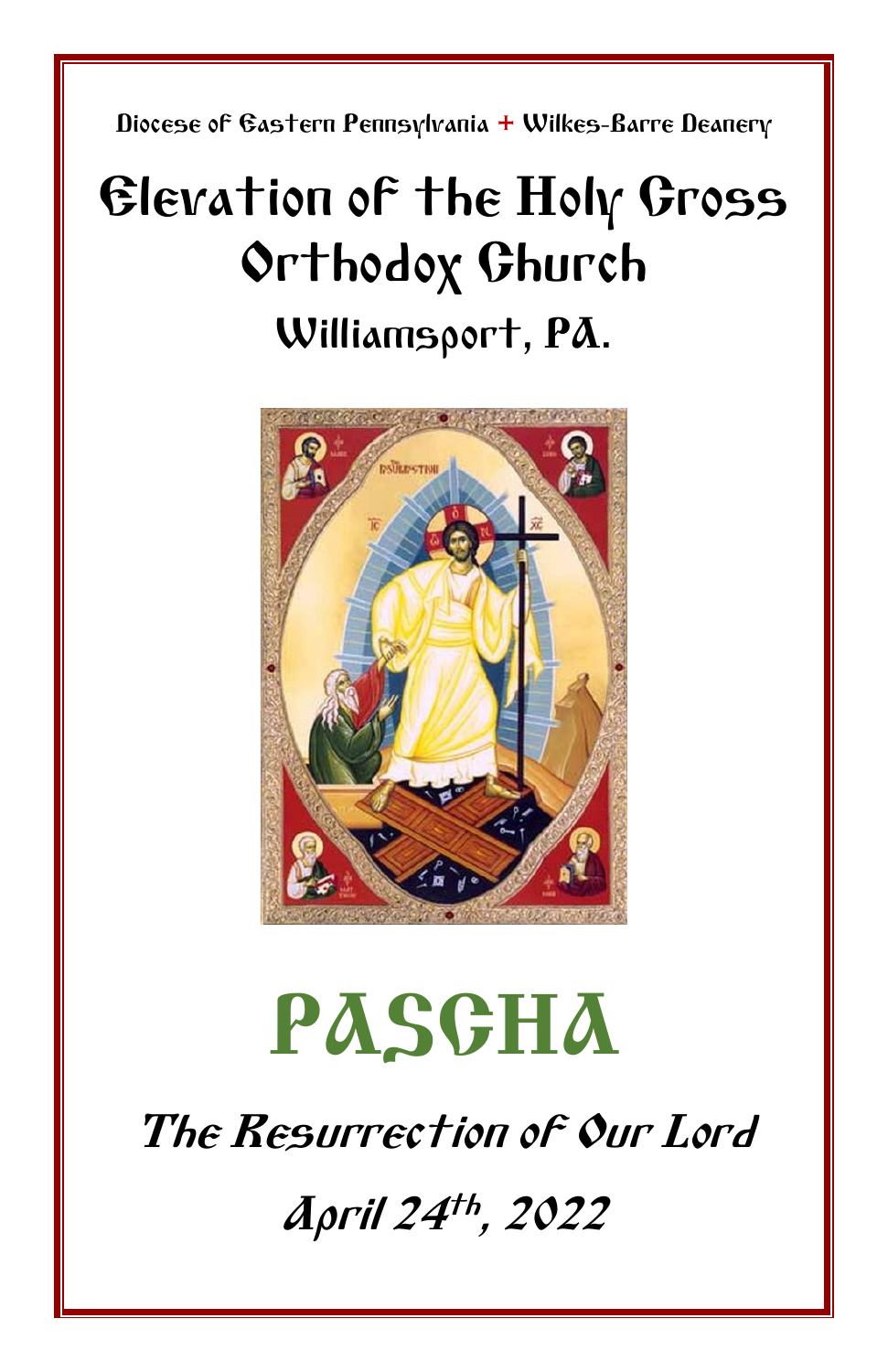Diocese of Eastern Pennsylvania **+** Wilkes-Barre Deanery

# Elevation of the Holy Cross Orthodox Church Williamsport, PA.



# PASCHA

## The Resurrection of Our Lord

April 24 th , 2022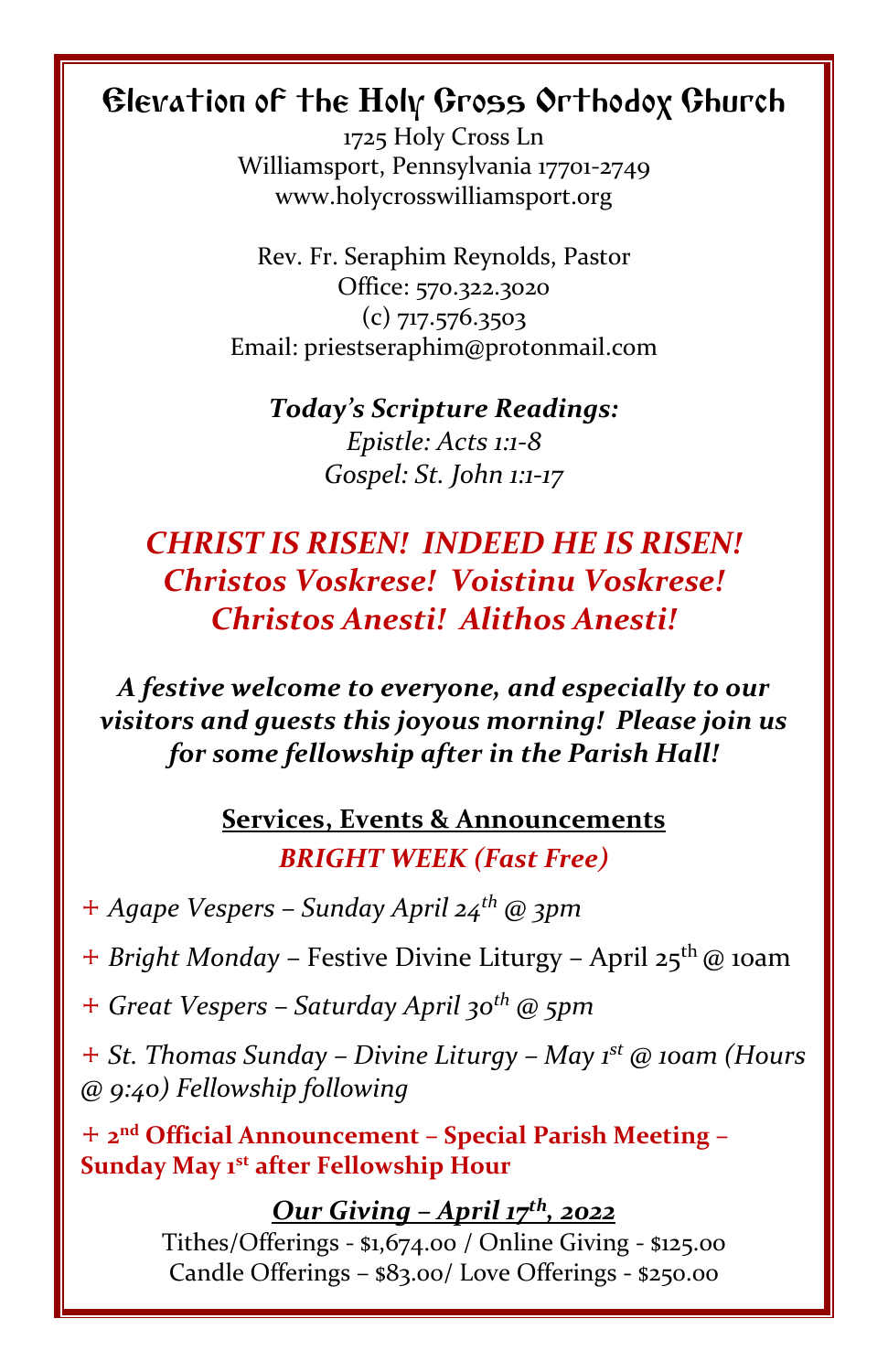### Elevation of the Holy Cross Orthodox Church

1725 Holy Cross Ln Williamsport, Pennsylvania 17701-2749 www.holycrosswilliamsport.org

Rev. Fr. Seraphim Reynolds, Pastor Office: 570.322.3020 (c) 717.576.3503 Email: priestseraphim@protonmail.com

*Today's Scripture Readings: Epistle: Acts 1:1-8 Gospel: St. John 1:1-17*

#### *CHRIST IS RISEN! INDEED HE IS RISEN! Christos Voskrese! Voistinu Voskrese! Christos Anesti! Alithos Anesti!*

*A festive welcome to everyone, and especially to our visitors and guests this joyous morning! Please join us for some fellowship after in the Parish Hall!*

> **Services, Events & Announcements** *BRIGHT WEEK (Fast Free)*

+ *Agape Vespers – Sunday April 24th @ 3pm*

+ *Bright Monday* – Festive Divine Liturgy – April 25th @ 10am

+ *Great Vespers – Saturday April 30th @ 5pm*

+ *St. Thomas Sunday – Divine Liturgy – May 1 st @ 10am (Hours @ 9:40) Fellowship following*

+ **2 nd Official Announcement – Special Parish Meeting – Sunday May 1st after Fellowship Hour**

#### *Our Giving – April 17th, 2022*

Tithes/Offerings - \$1,674.00 / Online Giving - \$125.00 Candle Offerings – \$83.00/ Love Offerings - \$250.00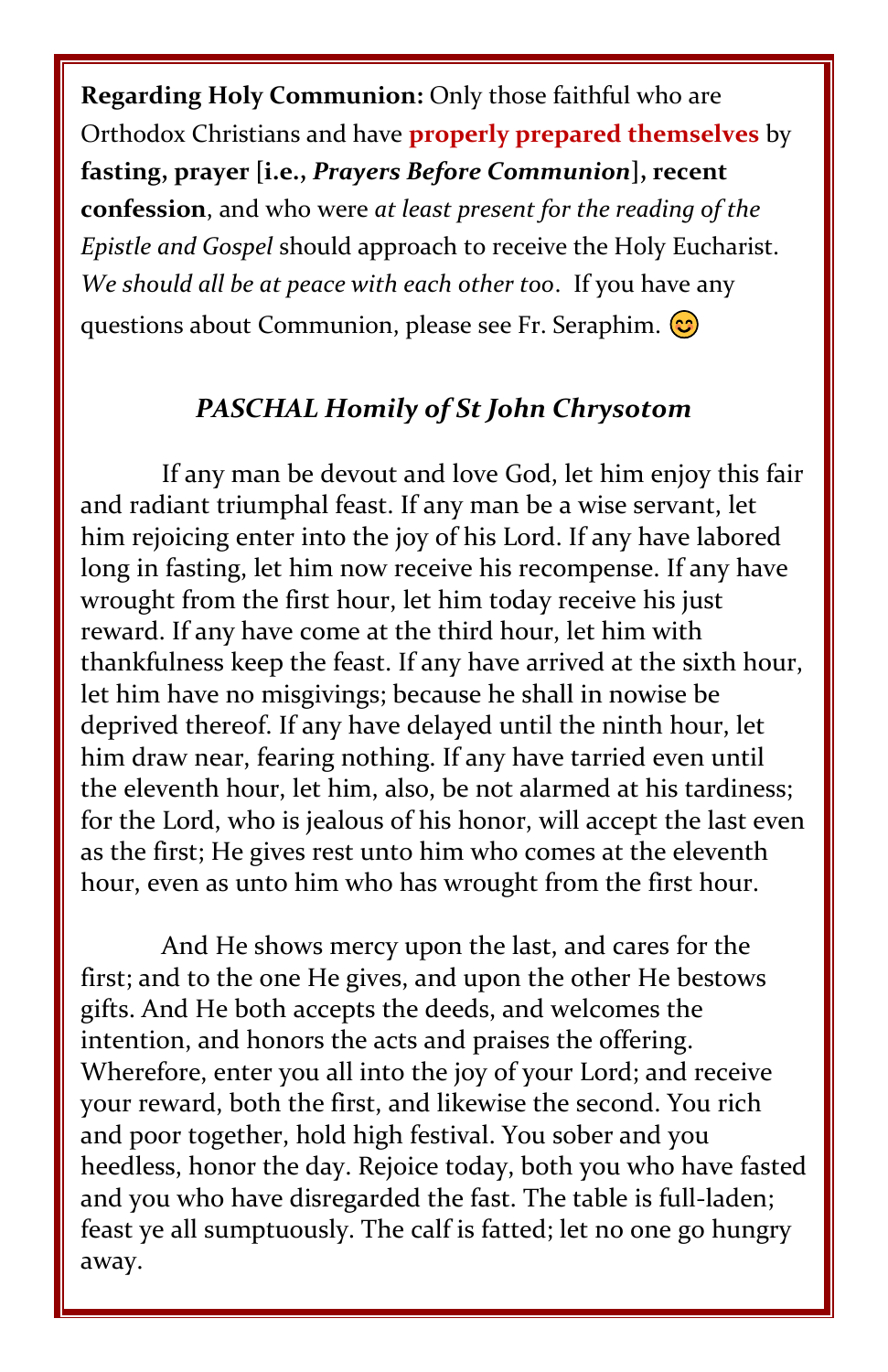**Regarding Holy Communion:** Only those faithful who are Orthodox Christians and have **properly prepared themselves** by **fasting, prayer [i.e.,** *Prayers Before Communion***], recent confession**, and who were *at least present for the reading of the Epistle and Gospel* should approach to receive the Holy Eucharist. *We should all be at peace with each other too*. If you have any questions about Communion, please see Fr. Seraphim.

#### *PASCHAL Homily of St John Chrysotom*

If any man be devout and love God, let him enjoy this fair and radiant triumphal feast. If any man be a wise servant, let him rejoicing enter into the joy of his Lord. If any have labored long in fasting, let him now receive his recompense. If any have wrought from the first hour, let him today receive his just reward. If any have come at the third hour, let him with thankfulness keep the feast. If any have arrived at the sixth hour, let him have no misgivings; because he shall in nowise be deprived thereof. If any have delayed until the ninth hour, let him draw near, fearing nothing. If any have tarried even until the eleventh hour, let him, also, be not alarmed at his tardiness; for the Lord, who is jealous of his honor, will accept the last even as the first; He gives rest unto him who comes at the eleventh hour, even as unto him who has wrought from the first hour.

And He shows mercy upon the last, and cares for the first; and to the one He gives, and upon the other He bestows gifts. And He both accepts the deeds, and welcomes the intention, and honors the acts and praises the offering. Wherefore, enter you all into the joy of your Lord; and receive your reward, both the first, and likewise the second. You rich and poor together, hold high festival. You sober and you heedless, honor the day. Rejoice today, both you who have fasted and you who have disregarded the fast. The table is full-laden; feast ye all sumptuously. The calf is fatted; let no one go hungry away.